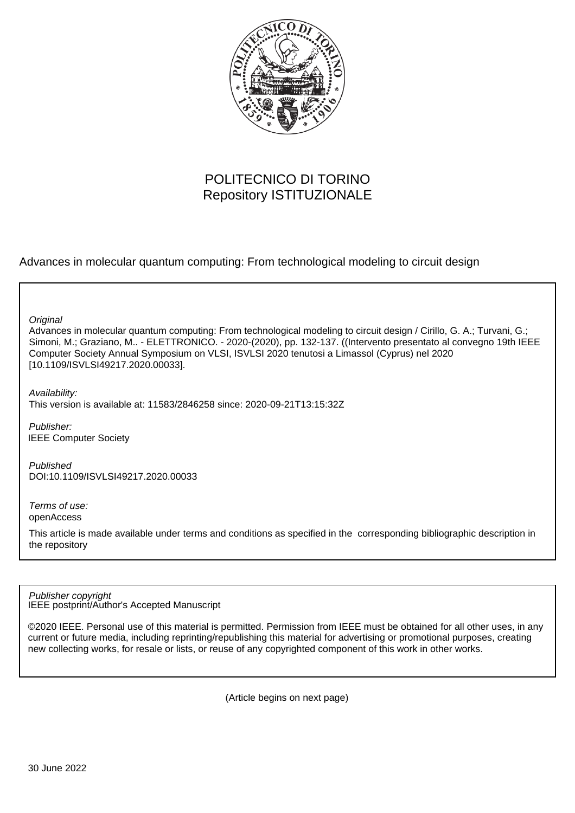

## POLITECNICO DI TORINO Repository ISTITUZIONALE

Advances in molecular quantum computing: From technological modeling to circuit design

**Original** 

Advances in molecular quantum computing: From technological modeling to circuit design / Cirillo, G. A.; Turvani, G.; Simoni, M.; Graziano, M.. - ELETTRONICO. - 2020-(2020), pp. 132-137. ((Intervento presentato al convegno 19th IEEE Computer Society Annual Symposium on VLSI, ISVLSI 2020 tenutosi a Limassol (Cyprus) nel 2020 [10.1109/ISVLSI49217.2020.00033].

Availability: This version is available at: 11583/2846258 since: 2020-09-21T13:15:32Z

Publisher: IEEE Computer Society

Published DOI:10.1109/ISVLSI49217.2020.00033

Terms of use: openAccess

This article is made available under terms and conditions as specified in the corresponding bibliographic description in the repository

IEEE postprint/Author's Accepted Manuscript Publisher copyright

©2020 IEEE. Personal use of this material is permitted. Permission from IEEE must be obtained for all other uses, in any current or future media, including reprinting/republishing this material for advertising or promotional purposes, creating new collecting works, for resale or lists, or reuse of any copyrighted component of this work in other works.

(Article begins on next page)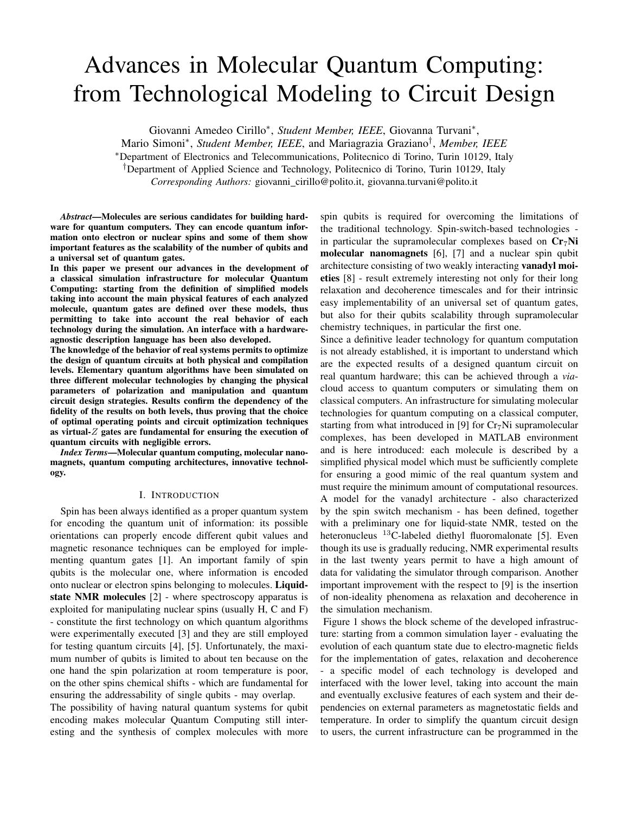# Advances in Molecular Quantum Computing: from Technological Modeling to Circuit Design

Giovanni Amedeo Cirillo<sup>\*</sup>, Student Member, IEEE, Giovanna Turvani<sup>\*</sup>,

Mario Simoni<sup>∗</sup> , *Student Member, IEEE*, and Mariagrazia Graziano† , *Member, IEEE* <sup>∗</sup>Department of Electronics and Telecommunications, Politecnico di Torino, Turin 10129, Italy †Department of Applied Science and Technology, Politecnico di Torino, Turin 10129, Italy

*Corresponding Authors:* giovanni cirillo@polito.it, giovanna.turvani@polito.it

*Abstract*—Molecules are serious candidates for building hardware for quantum computers. They can encode quantum information onto electron or nuclear spins and some of them show important features as the scalability of the number of qubits and a universal set of quantum gates.

In this paper we present our advances in the development of a classical simulation infrastructure for molecular Quantum Computing: starting from the definition of simplified models taking into account the main physical features of each analyzed molecule, quantum gates are defined over these models, thus permitting to take into account the real behavior of each technology during the simulation. An interface with a hardwareagnostic description language has been also developed.

The knowledge of the behavior of real systems permits to optimize the design of quantum circuits at both physical and compilation levels. Elementary quantum algorithms have been simulated on three different molecular technologies by changing the physical parameters of polarization and manipulation and quantum circuit design strategies. Results confirm the dependency of the fidelity of the results on both levels, thus proving that the choice of optimal operating points and circuit optimization techniques as virtual-Z gates are fundamental for ensuring the execution of quantum circuits with negligible errors.

*Index Terms*—Molecular quantum computing, molecular nanomagnets, quantum computing architectures, innovative technology.

#### I. INTRODUCTION

Spin has been always identified as a proper quantum system for encoding the quantum unit of information: its possible orientations can properly encode different qubit values and magnetic resonance techniques can be employed for implementing quantum gates [1]. An important family of spin qubits is the molecular one, where information is encoded onto nuclear or electron spins belonging to molecules. Liquidstate NMR molecules [2] - where spectroscopy apparatus is exploited for manipulating nuclear spins (usually H, C and F) - constitute the first technology on which quantum algorithms were experimentally executed [3] and they are still employed for testing quantum circuits [4], [5]. Unfortunately, the maximum number of qubits is limited to about ten because on the one hand the spin polarization at room temperature is poor, on the other spins chemical shifts - which are fundamental for ensuring the addressability of single qubits - may overlap.

The possibility of having natural quantum systems for qubit encoding makes molecular Quantum Computing still interesting and the synthesis of complex molecules with more

spin qubits is required for overcoming the limitations of the traditional technology. Spin-switch-based technologies in particular the supramolecular complexes based on  $Cr_7Ni$ molecular nanomagnets [6], [7] and a nuclear spin qubit architecture consisting of two weakly interacting vanadyl moieties [8] - result extremely interesting not only for their long relaxation and decoherence timescales and for their intrinsic easy implementability of an universal set of quantum gates, but also for their qubits scalability through supramolecular chemistry techniques, in particular the first one.

Since a definitive leader technology for quantum computation is not already established, it is important to understand which are the expected results of a designed quantum circuit on real quantum hardware; this can be achieved through a *via*cloud access to quantum computers or simulating them on classical computers. An infrastructure for simulating molecular technologies for quantum computing on a classical computer, starting from what introduced in [9] for Cr<sub>7</sub>Ni supramolecular complexes, has been developed in MATLAB environment and is here introduced: each molecule is described by a simplified physical model which must be sufficiently complete for ensuring a good mimic of the real quantum system and must require the minimum amount of computational resources. A model for the vanadyl architecture - also characterized by the spin switch mechanism - has been defined, together with a preliminary one for liquid-state NMR, tested on the heteronucleus <sup>13</sup>C-labeled diethyl fluoromalonate [5]. Even though its use is gradually reducing, NMR experimental results in the last twenty years permit to have a high amount of data for validating the simulator through comparison. Another important improvement with the respect to [9] is the insertion of non-ideality phenomena as relaxation and decoherence in the simulation mechanism.

Figure 1 shows the block scheme of the developed infrastructure: starting from a common simulation layer - evaluating the evolution of each quantum state due to electro-magnetic fields for the implementation of gates, relaxation and decoherence a specific model of each technology is developed and interfaced with the lower level, taking into account the main and eventually exclusive features of each system and their dependencies on external parameters as magnetostatic fields and temperature. In order to simplify the quantum circuit design to users, the current infrastructure can be programmed in the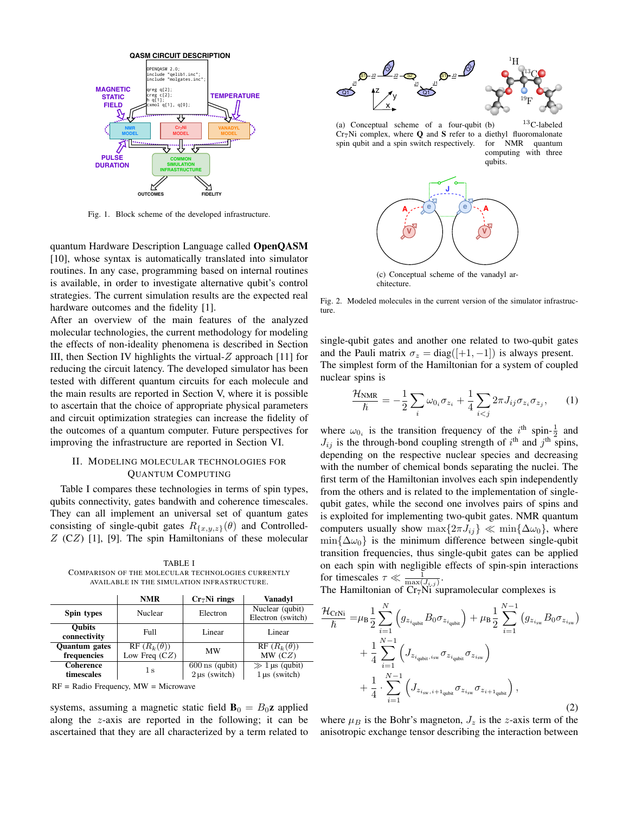

Fig. 1. Block scheme of the developed infrastructure.

quantum Hardware Description Language called OpenQASM [10], whose syntax is automatically translated into simulator routines. In any case, programming based on internal routines is available, in order to investigate alternative qubit's control strategies. The current simulation results are the expected real hardware outcomes and the fidelity [1].

After an overview of the main features of the analyzed molecular technologies, the current methodology for modeling the effects of non-ideality phenomena is described in Section III, then Section IV highlights the virtual-Z approach [11] for reducing the circuit latency. The developed simulator has been tested with different quantum circuits for each molecule and the main results are reported in Section V, where it is possible to ascertain that the choice of appropriate physical parameters and circuit optimization strategies can increase the fidelity of the outcomes of a quantum computer. Future perspectives for improving the infrastructure are reported in Section VI.

#### II. MODELING MOLECULAR TECHNOLOGIES FOR QUANTUM COMPUTING

Table I compares these technologies in terms of spin types, qubits connectivity, gates bandwith and coherence timescales. They can all implement an universal set of quantum gates consisting of single-qubit gates  $R_{\{x,y,z\}}(\theta)$  and Controlled- $Z$  (CZ) [1], [9]. The spin Hamiltonians of these molecular

TABLE I COMPARISON OF THE MOLECULAR TECHNOLOGIES CURRENTLY AVAILABLE IN THE SIMULATION INFRASTRUCTURE.

|                                     | <b>NMR</b>                            | $Cr7Ni$ rings                                                | Vanadyl                                                  |
|-------------------------------------|---------------------------------------|--------------------------------------------------------------|----------------------------------------------------------|
| Spin types                          | Nuclear                               | Electron                                                     | $\overline{\text{Nuclear}}$ (qubit)<br>Electron (switch) |
| <b>Oubits</b><br>connectivity       | Full                                  | Linear                                                       | Linear                                                   |
| <b>Quantum</b> gates<br>frequencies | RF $(R_k(\theta))$<br>Low Freq $(CZ)$ | <b>MW</b>                                                    | RF $(R_k(\theta))$<br>MW(CZ)                             |
| Coherence<br>timescales             | $1\,\mathrm{s}$                       | $600 \text{ ns}$ (qubit)<br>$2 \text{ }\mu\text{s}$ (switch) | $\gg$ 1 µs (qubit)<br>$1 \mu s$ (switch)                 |

 $RF = Radio Frequency, MW = Microwave$ 

systems, assuming a magnetic static field  $\mathbf{B}_0 = B_0\mathbf{z}$  applied along the z-axis are reported in the following; it can be ascertained that they are all characterized by a term related to



(a) Conceptual scheme of a four-qubit  $Cr_7Ni$  complex, where  $Q$  and  $S$  refer to a diethyl fluoromalonate spin qubit and a spin switch respectively.  $13C$ -labeled for NMR quantum computing with three qubits.



(c) Conceptual scheme of the vanadyl architecture.

Fig. 2. Modeled molecules in the current version of the simulator infrastructure

single-qubit gates and another one related to two-qubit gates and the Pauli matrix  $\sigma_z = \text{diag}([+1, -1])$  is always present. The simplest form of the Hamiltonian for a system of coupled nuclear spins is

$$
\frac{\mathcal{H}_{\text{NMR}}}{\hbar} = -\frac{1}{2} \sum_{i} \omega_{0_i} \sigma_{z_i} + \frac{1}{4} \sum_{i < j} 2\pi J_{ij} \sigma_{z_i} \sigma_{z_j}, \qquad (1)
$$

where  $\omega_{0_i}$  is the transition frequency of the  $i^{\text{th}}$  spin- $\frac{1}{2}$  and  $J_{ij}$  is the through-bond coupling strength of  $i<sup>th</sup>$  and  $j<sup>th</sup>$  spins, depending on the respective nuclear species and decreasing with the number of chemical bonds separating the nuclei. The first term of the Hamiltonian involves each spin independently from the others and is related to the implementation of singlequbit gates, while the second one involves pairs of spins and is exploited for implementing two-qubit gates. NMR quantum computers usually show  $\max\{2\pi J_{ij}\}\ll \min\{\Delta\omega_0\}$ , where  $\min\{\Delta\omega_0\}$  is the minimum difference between single-qubit transition frequencies, thus single-qubit gates can be applied on each spin with negligible effects of spin-spin interactions for timescales  $\tau \ll \frac{1}{\max(J_{i,j})}$ .

The Hamiltonian of  $Cr_7Ni$  supramolecular complexes is

$$
\frac{\mathcal{H}_{\text{CrNi}}}{\hbar} = \mu_{\text{B}} \frac{1}{2} \sum_{i=1}^{N} \left( g_{z_{i_{\text{qubit}}}} B_{0} \sigma_{z_{i_{\text{qubit}}}} \right) + \mu_{\text{B}} \frac{1}{2} \sum_{i=1}^{N-1} \left( g_{z_{i_{\text{sw}}}} B_{0} \sigma_{z_{i_{\text{sw}}}} \right) + \frac{1}{4} \sum_{i=1}^{N-1} \left( J_{z_{i_{\text{qubit}}}, i_{\text{sw}}} \sigma_{z_{i_{\text{qubit}}}} \sigma_{z_{i_{\text{sw}}}} \right) + \frac{1}{4} \cdot \sum_{i=1}^{N-1} \left( J_{z_{i_{\text{sw}}, i+1_{\text{qubit}}}} \sigma_{z_{i_{\text{sw}}}} \sigma_{z_{i+1_{\text{qubit}}}} \right),
$$
\n(2)

where  $\mu_B$  is the Bohr's magneton,  $J_z$  is the z-axis term of the anisotropic exchange tensor describing the interaction between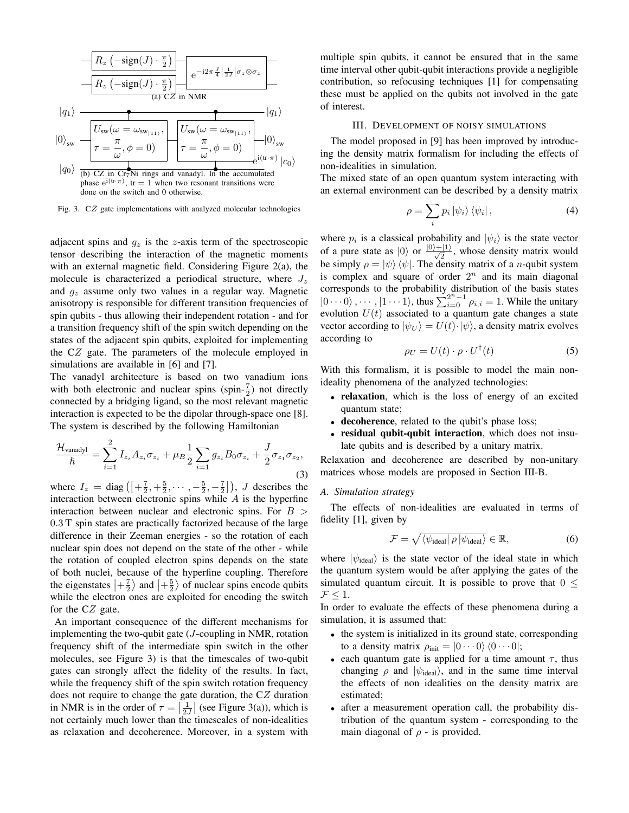

Fig. 3. CZ gate implementations with analyzed molecular technologies

adjacent spins and  $g_z$  is the z-axis term of the spectroscopic tensor describing the interaction of the magnetic moments with an external magnetic field. Considering Figure 2(a), the molecule is characterized a periodical structure, where  $J_z$ and  $g<sub>z</sub>$  assume only two values in a regular way. Magnetic anisotropy is responsible for different transition frequencies of spin qubits - thus allowing their independent rotation - and for a transition frequency shift of the spin switch depending on the states of the adjacent spin qubits, exploited for implementing the CZ gate. The parameters of the molecule employed in simulations are available in [6] and [7].

The vanadyl architecture is based on two vanadium ions with both electronic and nuclear spins (spin- $\frac{7}{2}$ ) not directly connected by a bridging ligand, so the most relevant magnetic interaction is expected to be the dipolar through-space one [8]. The system is described by the following Hamiltonian

$$
\frac{\mathcal{H}_{\text{vanadyl}}}{\hbar} = \sum_{i=1}^{2} I_{z_i} A_{z_i} \sigma_{z_i} + \mu_B \frac{1}{2} \sum_{i=1}^{2} g_{z_i} B_0 \sigma_{z_i} + \frac{J}{2} \sigma_{z_1} \sigma_{z_2},\tag{3}
$$

where  $I_z = \text{diag}\left(\left[+\frac{7}{2},+\frac{5}{2},\cdots,-\frac{5}{2},-\frac{7}{2}\right]\right), J$  describes the interaction between electronic spins while  $A$  is the hyperfine interaction between nuclear and electronic spins. For  $B >$ 0.3 T spin states are practically factorized because of the large difference in their Zeeman energies - so the rotation of each nuclear spin does not depend on the state of the other - while the rotation of coupled electron spins depends on the state of both nuclei, because of the hyperfine coupling. Therefore the eigenstates  $\left|+\frac{7}{2}\right\rangle$  and  $\left|+\frac{5}{2}\right\rangle$  of nuclear spins encode qubits while the electron ones are exploited for encoding the switch for the CZ gate.

An important consequence of the different mechanisms for implementing the two-qubit gate  $(J$ -coupling in NMR, rotation frequency shift of the intermediate spin switch in the other molecules, see Figure 3) is that the timescales of two-qubit gates can strongly affect the fidelity of the results. In fact, while the frequency shift of the spin switch rotation frequency does not require to change the gate duration, the CZ duration in NMR is in the order of  $\tau = \left| \frac{1}{2J} \right|$  (see Figure 3(a)), which is not certainly much lower than the timescales of non-idealities as relaxation and decoherence. Moreover, in a system with multiple spin qubits, it cannot be ensured that in the same time interval other qubit-qubit interactions provide a negligible contribution, so refocusing techniques [1] for compensating these must be applied on the qubits not involved in the gate of interest.

#### III. DEVELOPMENT OF NOISY SIMULATIONS

The model proposed in [9] has been improved by introducing the density matrix formalism for including the effects of non-idealities in simulation.

The mixed state of an open quantum system interacting with an external environment can be described by a density matrix

$$
\rho = \sum_{i} p_{i} \left| \psi_{i} \right\rangle \left\langle \psi_{i} \right|, \tag{4}
$$

where  $p_i$  is a classical probability and  $|\psi_i\rangle$  is the state vector of a pure state as  $|0\rangle$  or  $\frac{|0\rangle+|1\rangle}{\sqrt{2}}$ , whose density matrix would be simply  $\rho = |\psi\rangle \langle \psi|$ . The density matrix of a *n*-qubit system is complex and square of order  $2^n$  and its main diagonal corresponds to the probability distribution of the basis states  $|0 \cdots 0\rangle$ ,  $\cdots$ ,  $|1 \cdots 1\rangle$ , thus  $\sum_{i=0}^{2^n - 1} \rho_{i,i} = 1$ . While the unitary evolution  $U(t)$  associated to a quantum gate changes a state vector according to  $|\psi_U\rangle = U(t) \cdot |\psi\rangle$ , a density matrix evolves according to

$$
\rho_U = U(t) \cdot \rho \cdot U^{\dagger}(t) \tag{5}
$$

With this formalism, it is possible to model the main nonideality phenomena of the analyzed technologies:

- relaxation, which is the loss of energy of an excited quantum state;
- decoherence, related to the qubit's phase loss;
- residual qubit-qubit interaction, which does not insulate qubits and is described by a unitary matrix.

Relaxation and decoherence are described by non-unitary matrices whose models are proposed in Section III-B.

#### *A. Simulation strategy*

The effects of non-idealities are evaluated in terms of fidelity [1], given by

$$
\mathcal{F} = \sqrt{\langle \psi_{\text{ideal}} | \rho | \psi_{\text{ideal}} \rangle} \in \mathbb{R}, \tag{6}
$$

where  $|\psi_{\text{ideal}}\rangle$  is the state vector of the ideal state in which the quantum system would be after applying the gates of the simulated quantum circuit. It is possible to prove that  $0 \leq$  $\mathcal{F}$  < 1.

In order to evaluate the effects of these phenomena during a simulation, it is assumed that:

- the system is initialized in its ground state, corresponding to a density matrix  $\rho_{init} = |0 \cdots 0\rangle \langle 0 \cdots 0|;$
- each quantum gate is applied for a time amount  $\tau$ , thus changing  $\rho$  and  $|\psi_{\text{ideal}}\rangle$ , and in the same time interval the effects of non idealities on the density matrix are estimated;
- after a measurement operation call, the probability distribution of the quantum system - corresponding to the main diagonal of  $\rho$  - is provided.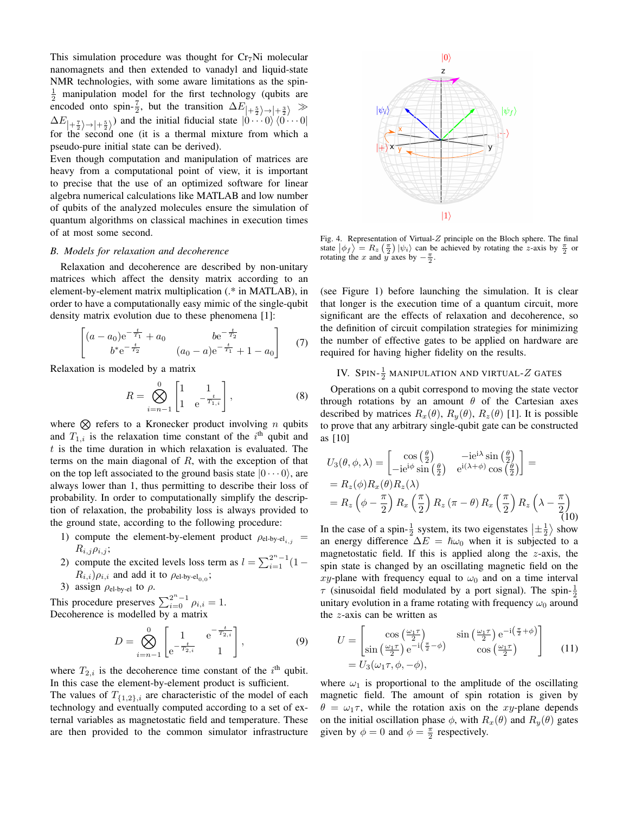This simulation procedure was thought for  $Cr_7Ni$  molecular nanomagnets and then extended to vanadyl and liquid-state NMR technologies, with some aware limitations as the spin- $\frac{1}{2}$  manipulation model for the first technology (qubits are encoded onto spin- $\frac{7}{2}$ , but the transition  $\Delta E_{|+\frac{5}{2}\rangle \rightarrow |+\frac{3}{2}\rangle} \gg$  $\Delta E_{|+\frac{7}{2}\rangle \rightarrow |+\frac{5}{2}\rangle}$  and the initial fiducial state  $|0 \cdots 0\rangle \langle 0 \cdots 0|$ for the second one (it is a thermal mixture from which a pseudo-pure initial state can be derived).

Even though computation and manipulation of matrices are heavy from a computational point of view, it is important to precise that the use of an optimized software for linear algebra numerical calculations like MATLAB and low number of qubits of the analyzed molecules ensure the simulation of quantum algorithms on classical machines in execution times of at most some second.

#### *B. Models for relaxation and decoherence*

Relaxation and decoherence are described by non-unitary matrices which affect the density matrix according to an element-by-element matrix multiplication (.\* in MATLAB), in order to have a computationally easy mimic of the single-qubit density matrix evolution due to these phenomena [1]:

$$
\begin{bmatrix}\n(a - a_0)e^{-\frac{t}{T_1}} + a_0 & be^{-\frac{t}{T_2}} \\
b^* e^{-\frac{t}{T_2}} & (a_0 - a)e^{-\frac{t}{T_1}} + 1 - a_0\n\end{bmatrix}
$$
\n(7)

Relaxation is modeled by a matrix

$$
R = \bigotimes_{i=n-1}^{0} \begin{bmatrix} 1 & 1 \\ 1 & e^{-\frac{t}{T_{1,i}}} \end{bmatrix},
$$
 (8)

where  $\otimes$  refers to a Kronecker product involving *n* qubits and  $T_{1,i}$  is the relaxation time constant of the i<sup>th</sup> qubit and  $t$  is the time duration in which relaxation is evaluated. The terms on the main diagonal of  $R$ , with the exception of that on the top left associated to the ground basis state  $|0 \cdots 0\rangle$ , are always lower than 1, thus permitting to describe their loss of probability. In order to computationally simplify the description of relaxation, the probability loss is always provided to the ground state, according to the following procedure:

- 1) compute the element-by-element product  $\rho_{el-by-el_{i,j}}$  =  $R_{i,j}\rho_{i,j};$
- 2) compute the excited levels loss term as  $l = \sum_{i=1}^{2^n 1} (1 R_{i,i})\rho_{i,i}$  and add it to  $\rho_{el-by-el_{0,0}}$ ;
- 3) assign  $\rho_{el-by-el}$  to  $\rho$ .

This procedure preserves  $\sum_{i=0}^{2^n-1} \rho_{i,i} = 1$ . Decoherence is modelled by a matrix

$$
D = \bigotimes_{i=n-1}^{0} \begin{bmatrix} 1 & e^{-\frac{t}{T_{2,i}}}\\ e^{-\frac{t}{T_{2,i}}} & 1 \end{bmatrix},
$$
(9)

where  $T_{2,i}$  is the decoherence time constant of the  $i<sup>th</sup>$  qubit. In this case the element-by-element product is sufficient.

The values of  $T_{\{1,2\},i}$  are characteristic of the model of each technology and eventually computed according to a set of external variables as magnetostatic field and temperature. These are then provided to the common simulator infrastructure



Fig. 4. Representation of Virtual-Z principle on the Bloch sphere. The final state  $|\phi_f\rangle = R_z(\frac{\pi}{2}) |\psi_i\rangle$  can be achieved by rotating the z-axis by  $\frac{\pi}{2}$  or rotating the x and y axes by  $-\frac{\pi}{2}$ .

(see Figure 1) before launching the simulation. It is clear that longer is the execution time of a quantum circuit, more significant are the effects of relaxation and decoherence, so the definition of circuit compilation strategies for minimizing the number of effective gates to be applied on hardware are required for having higher fidelity on the results.

### IV. SPIN- $\frac{1}{2}$  manipulation and virtual-Z gates

Operations on a qubit correspond to moving the state vector through rotations by an amount  $\theta$  of the Cartesian axes described by matrices  $R_x(\theta)$ ,  $R_y(\theta)$ ,  $R_z(\theta)$  [1]. It is possible to prove that any arbitrary single-qubit gate can be constructed as [10]

$$
U_3(\theta, \phi, \lambda) = \begin{bmatrix} \cos\left(\frac{\theta}{2}\right) & -\mathrm{i}e^{\mathrm{i}\lambda}\sin\left(\frac{\theta}{2}\right) \\ -\mathrm{i}e^{\mathrm{i}\phi}\sin\left(\frac{\theta}{2}\right) & e^{\mathrm{i}(\lambda+\phi)}\cos\left(\frac{\theta}{2}\right) \end{bmatrix} =
$$
  
=  $R_z(\phi)R_x(\theta)R_z(\lambda)$   
=  $R_z\left(\phi - \frac{\pi}{2}\right)R_x\left(\frac{\pi}{2}\right)R_z(\pi - \theta)R_x\left(\frac{\pi}{2}\right)R_z\left(\lambda - \frac{\pi}{2}\right)$  (10)

In the case of a spin- $\frac{1}{2}$  system, its two eigenstates  $\ket{\pm \frac{1}{2}}$  show an energy difference  $\Delta E = \hbar \omega_0$  when it is subjected to a magnetostatic field. If this is applied along the z-axis, the spin state is changed by an oscillating magnetic field on the xy-plane with frequency equal to  $\omega_0$  and on a time interval  $\tau$  (sinusoidal field modulated by a port signal). The spin- $\frac{1}{2}$ unitary evolution in a frame rotating with frequency  $\omega_0$  around the z-axis can be written as

$$
U = \begin{bmatrix} \cos\left(\frac{\omega_1 \tau}{2}\right) & \sin\left(\frac{\omega_1 \tau}{2}\right) e^{-i\left(\frac{\pi}{2} + \phi\right)} \\ \sin\left(\frac{\omega_1 \tau}{2}\right) e^{-i\left(\frac{\pi}{2} - \phi\right)} & \cos\left(\frac{\omega_1 \tau}{2}\right) \end{bmatrix} \tag{11}
$$

$$
= U_3(\omega_1 \tau, \phi, -\phi),
$$

where  $\omega_1$  is proportional to the amplitude of the oscillating magnetic field. The amount of spin rotation is given by  $\theta = \omega_1 \tau$ , while the rotation axis on the xy-plane depends on the initial oscillation phase  $\phi$ , with  $R_x(\theta)$  and  $R_y(\theta)$  gates given by  $\phi = 0$  and  $\phi = \frac{\pi}{2}$  respectively.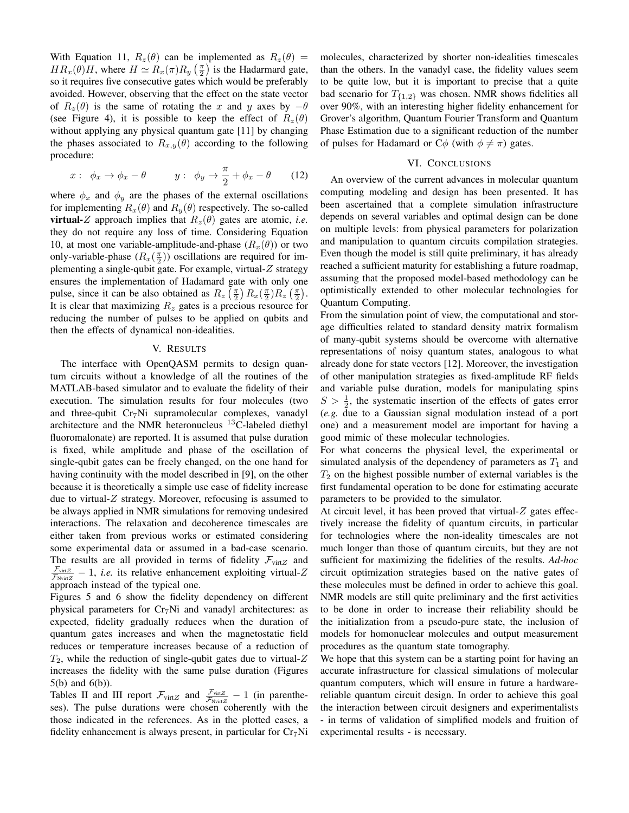With Equation 11,  $R_z(\theta)$  can be implemented as  $R_z(\theta)$  =  $HR_x(\theta)H$ , where  $H \simeq R_x(\pi)R_y(\frac{\pi}{2})$  is the Hadarmard gate, so it requires five consecutive gates which would be preferably avoided. However, observing that the effect on the state vector of  $R_z(\theta)$  is the same of rotating the x and y axes by  $-\theta$ (see Figure 4), it is possible to keep the effect of  $R_z(\theta)$ without applying any physical quantum gate [11] by changing the phases associated to  $R_{x,y}(\theta)$  according to the following procedure:

$$
x: \ \ \phi_x \to \phi_x - \theta \qquad \quad y: \ \ \phi_y \to \frac{\pi}{2} + \phi_x - \theta \qquad (12)
$$

where  $\phi_x$  and  $\phi_y$  are the phases of the external oscillations for implementing  $R_x(\theta)$  and  $R_y(\theta)$  respectively. The so-called **virtual-**Z approach implies that  $R_z(\theta)$  gates are atomic, *i.e.* they do not require any loss of time. Considering Equation 10, at most one variable-amplitude-and-phase  $(R_x(\theta))$  or two only-variable-phase  $(R_x(\frac{\pi}{2}))$  oscillations are required for implementing a single-qubit gate. For example, virtual-Z strategy ensures the implementation of Hadamard gate with only one pulse, since it can be also obtained as  $R_z\left(\frac{\pi}{2}\right)R_x\left(\frac{\pi}{2}\right)R_z\left(\frac{\pi}{2}\right)$ . It is clear that maximizing  $R_z$  gates is a precious resource for reducing the number of pulses to be applied on qubits and then the effects of dynamical non-idealities.

#### V. RESULTS

The interface with OpenQASM permits to design quantum circuits without a knowledge of all the routines of the MATLAB-based simulator and to evaluate the fidelity of their execution. The simulation results for four molecules (two and three-qubit  $Cr_7Ni$  supramolecular complexes, vanadyl architecture and the NMR heteronucleus  $^{13}$ C-labeled diethyl fluoromalonate) are reported. It is assumed that pulse duration is fixed, while amplitude and phase of the oscillation of single-qubit gates can be freely changed, on the one hand for having continuity with the model described in [9], on the other because it is theoretically a simple use case of fidelity increase due to virtual-Z strategy. Moreover, refocusing is assumed to be always applied in NMR simulations for removing undesired interactions. The relaxation and decoherence timescales are either taken from previous works or estimated considering some experimental data or assumed in a bad-case scenario. The results are all provided in terms of fidelity  $\mathcal{F}_{\text{virtZ}}$  and  $\frac{\mathcal{F}_{\text{virtZ}}}{\mathcal{F}_{\text{NvirtZ}}}$  - 1, *i.e.* its relative enhancement exploiting virtual-Z approach instead of the typical one.

Figures 5 and 6 show the fidelity dependency on different physical parameters for  $Cr_7Ni$  and vanadyl architectures: as expected, fidelity gradually reduces when the duration of quantum gates increases and when the magnetostatic field reduces or temperature increases because of a reduction of  $T_2$ , while the reduction of single-qubit gates due to virtual-Z increases the fidelity with the same pulse duration (Figures 5(b) and 6(b)).

Tables II and III report  $\mathcal{F}_{\text{virtZ}}$  and  $\frac{\mathcal{F}_{\text{virtZ}}}{\mathcal{F}_{\text{lvirtZ}}}-1$  (in parentheses). The pulse durations were chosen coherently with the those indicated in the references. As in the plotted cases, a fidelity enhancement is always present, in particular for  $Cr_7Ni$  molecules, characterized by shorter non-idealities timescales than the others. In the vanadyl case, the fidelity values seem to be quite low, but it is important to precise that a quite bad scenario for  $T_{\{1,2\}}$  was chosen. NMR shows fidelities all over 90%, with an interesting higher fidelity enhancement for Grover's algorithm, Quantum Fourier Transform and Quantum Phase Estimation due to a significant reduction of the number of pulses for Hadamard or  $C\phi$  (with  $\phi \neq \pi$ ) gates.

#### VI. CONCLUSIONS

An overview of the current advances in molecular quantum computing modeling and design has been presented. It has been ascertained that a complete simulation infrastructure depends on several variables and optimal design can be done on multiple levels: from physical parameters for polarization and manipulation to quantum circuits compilation strategies. Even though the model is still quite preliminary, it has already reached a sufficient maturity for establishing a future roadmap, assuming that the proposed model-based methodology can be optimistically extended to other molecular technologies for Quantum Computing.

From the simulation point of view, the computational and storage difficulties related to standard density matrix formalism of many-qubit systems should be overcome with alternative representations of noisy quantum states, analogous to what already done for state vectors [12]. Moreover, the investigation of other manipulation strategies as fixed-amplitude RF fields and variable pulse duration, models for manipulating spins  $S > \frac{1}{2}$ , the systematic insertion of the effects of gates error (*e.g.* due to a Gaussian signal modulation instead of a port one) and a measurement model are important for having a good mimic of these molecular technologies.

For what concerns the physical level, the experimental or simulated analysis of the dependency of parameters as  $T_1$  and  $T_2$  on the highest possible number of external variables is the first fundamental operation to be done for estimating accurate parameters to be provided to the simulator.

At circuit level, it has been proved that virtual- $Z$  gates effectively increase the fidelity of quantum circuits, in particular for technologies where the non-ideality timescales are not much longer than those of quantum circuits, but they are not sufficient for maximizing the fidelities of the results. *Ad-hoc* circuit optimization strategies based on the native gates of these molecules must be defined in order to achieve this goal. NMR models are still quite preliminary and the first activities to be done in order to increase their reliability should be the initialization from a pseudo-pure state, the inclusion of models for homonuclear molecules and output measurement procedures as the quantum state tomography.

We hope that this system can be a starting point for having an accurate infrastructure for classical simulations of molecular quantum computers, which will ensure in future a hardwarereliable quantum circuit design. In order to achieve this goal the interaction between circuit designers and experimentalists - in terms of validation of simplified models and fruition of experimental results - is necessary.